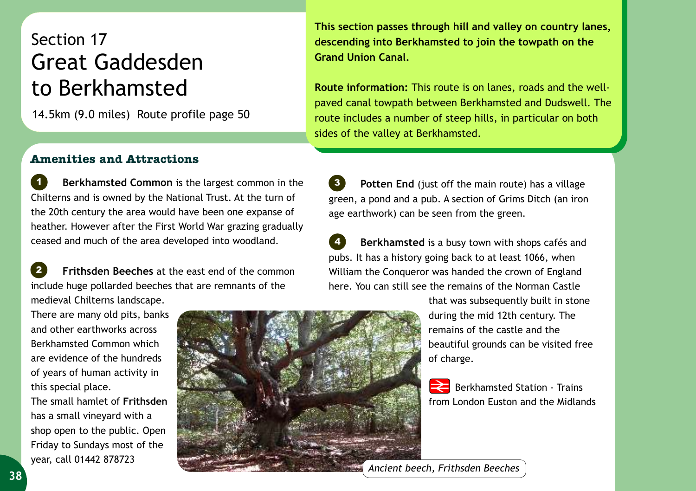## Section 17 Great Gaddesden to Berkhamsted

14.5km (9.0 miles) Route profile page 50

**This section passes through hill and valley on country lanes, descending into Berkhamsted to join the towpath on the Grand Union Canal.**

**Route information:** This route is on lanes, roads and the wellpaved canal towpath between Berkhamsted and Dudswell. The route includes a number of steep hills, in particular on both sides of the valley at Berkhamsted.

## **Amenities and Attractions**

 **Berkhamsted Common** is the largest common in the Chilterns and is owned by the National Trust. At the turn of the 20th century the area would have been one expanse of heather. However after the First World War grazing gradually ceased and much of the area developed into woodland. *1*

 **Frithsden Beeches** at the east end of the common include huge pollarded beeches that are remnants of the medieval Chilterns landscape. *2*

**Potten End** (just off the main route) has a village green, a pond and a pub. A section of Grims Ditch (an iron age earthwork) can be seen from the green.

 **Berkhamsted** is a busy town with shops cafés and pubs. It has a history going back to at least 1066, when William the Conqueror was handed the crown of England here. You can still see the remains of the Norman Castle *4*

There are many old pits, banks and other earthworks across Berkhamsted Common which are evidence of the hundreds of years of human activity in

this special place. The small hamlet of **Frithsden** has a small vineyard with a shop open to the public. Open Friday to Sundays most of the year, call 01442 878723



that was subsequently built in stone during the mid 12th century. The remains of the castle and the beautiful grounds can be visited free of charge.

Berkhamsted Station - Trains from London Euston and the Midlands

*Ancient beech, Frithsden Beeches*